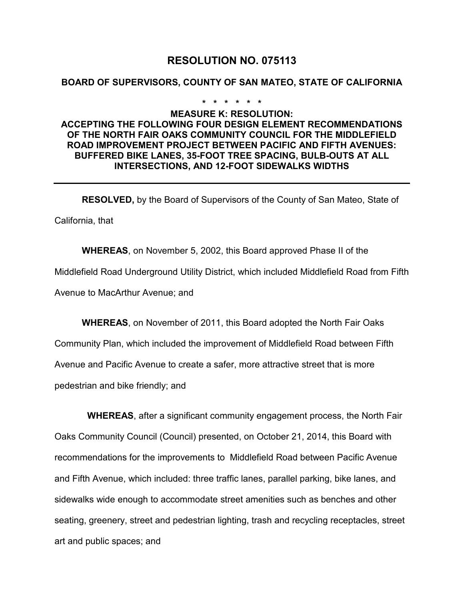# **RESOLUTION NO. 075113**

### **BOARD OF SUPERVISORS, COUNTY OF SAN MATEO, STATE OF CALIFORNIA**

#### **\* \* \* \* \* \***

## **MEASURE K: RESOLUTION: ACCEPTING THE FOLLOWING FOUR DESIGN ELEMENT RECOMMENDATIONS OF THE NORTH FAIR OAKS COMMUNITY COUNCIL FOR THE MIDDLEFIELD ROAD IMPROVEMENT PROJECT BETWEEN PACIFIC AND FIFTH AVENUES: BUFFERED BIKE LANES, 35-FOOT TREE SPACING, BULB-OUTS AT ALL INTERSECTIONS, AND 12-FOOT SIDEWALKS WIDTHS**

**RESOLVED,** by the Board of Supervisors of the County of San Mateo, State of California, that

**WHEREAS**, on November 5, 2002, this Board approved Phase II of the Middlefield Road Underground Utility District, which included Middlefield Road from Fifth Avenue to MacArthur Avenue; and

**WHEREAS**, on November of 2011, this Board adopted the North Fair Oaks Community Plan, which included the improvement of Middlefield Road between Fifth Avenue and Pacific Avenue to create a safer, more attractive street that is more pedestrian and bike friendly; and

**WHEREAS**, after a significant community engagement process, the North Fair Oaks Community Council (Council) presented, on October 21, 2014, this Board with recommendations for the improvements to Middlefield Road between Pacific Avenue and Fifth Avenue, which included: three traffic lanes, parallel parking, bike lanes, and sidewalks wide enough to accommodate street amenities such as benches and other seating, greenery, street and pedestrian lighting, trash and recycling receptacles, street art and public spaces; and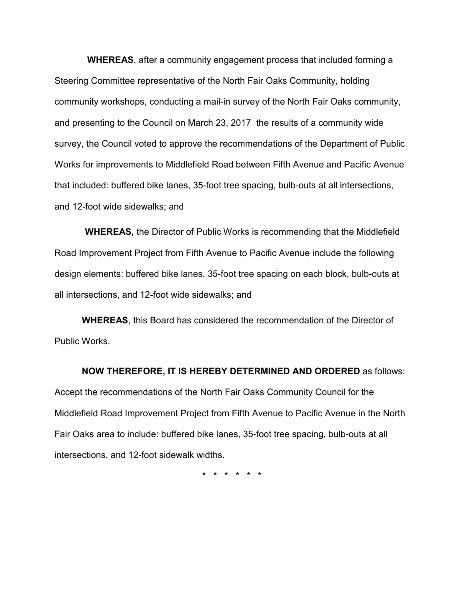**WHEREAS**, after a community engagement process that included forming a Steering Committee representative of the North Fair Oaks Community, holding community workshops, conducting a mail-in survey of the North Fair Oaks community, and presenting to the Council on March 23, 2017 the results of a community wide survey, the Council voted to approve the recommendations of the Department of Public Works for improvements to Middlefield Road between Fifth Avenue and Pacific Avenue that included: buffered bike lanes, 35-foot tree spacing, bulb-outs at all intersections, and 12-foot wide sidewalks; and

**WHEREAS,** the Director of Public Works is recommending that the Middlefield Road Improvement Project from Fifth Avenue to Pacific Avenue include the following design elements: buffered bike lanes, 35-foot tree spacing on each block, bulb-outs at all intersections, and 12-foot wide sidewalks; and

**WHEREAS**, this Board has considered the recommendation of the Director of Public Works.

### **NOW THEREFORE, IT IS HEREBY DETERMINED AND ORDERED** as follows:

Accept the recommendations of the North Fair Oaks Community Council for the Middlefield Road Improvement Project from Fifth Avenue to Pacific Avenue in the North Fair Oaks area to include: buffered bike lanes, 35-foot tree spacing, bulb-outs at all intersections, and 12-foot sidewalk widths.

\* \* \* \* \* \*